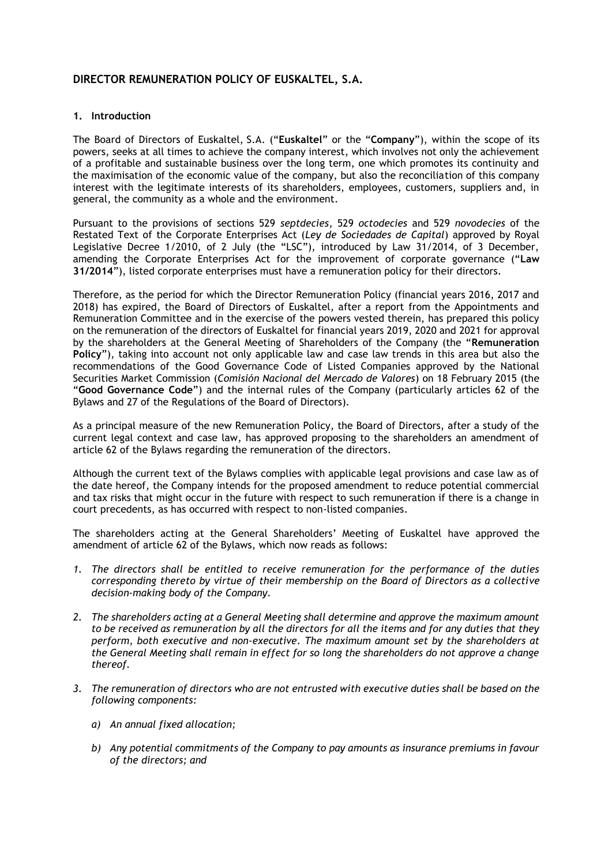# **DIRECTOR REMUNERATION POLICY OF EUSKALTEL, S.A.**

# **1. Introduction**

The Board of Directors of Euskaltel, S.A. ("**Euskaltel**" or the "**Company**"), within the scope of its powers, seeks at all times to achieve the company interest, which involves not only the achievement of a profitable and sustainable business over the long term, one which promotes its continuity and the maximisation of the economic value of the company, but also the reconciliation of this company interest with the legitimate interests of its shareholders, employees, customers, suppliers and, in general, the community as a whole and the environment.

Pursuant to the provisions of sections 529 *septdecies*, 529 *octodecies* and 529 *novodecies* of the Restated Text of the Corporate Enterprises Act (*Ley de Sociedades de Capital*) approved by Royal Legislative Decree 1/2010, of 2 July (the "LSC"), introduced by Law 31/2014, of 3 December, amending the Corporate Enterprises Act for the improvement of corporate governance ("**Law 31/2014**"), listed corporate enterprises must have a remuneration policy for their directors.

Therefore, as the period for which the Director Remuneration Policy (financial years 2016, 2017 and 2018) has expired, the Board of Directors of Euskaltel, after a report from the Appointments and Remuneration Committee and in the exercise of the powers vested therein, has prepared this policy on the remuneration of the directors of Euskaltel for financial years 2019, 2020 and 2021 for approval by the shareholders at the General Meeting of Shareholders of the Company (the "**Remuneration Policy**"), taking into account not only applicable law and case law trends in this area but also the recommendations of the Good Governance Code of Listed Companies approved by the National Securities Market Commission (*Comisión Nacional del Mercado de Valores*) on 18 February 2015 (the "**Good Governance Code**") and the internal rules of the Company (particularly articles 62 of the Bylaws and 27 of the Regulations of the Board of Directors).

As a principal measure of the new Remuneration Policy, the Board of Directors, after a study of the current legal context and case law, has approved proposing to the shareholders an amendment of article 62 of the Bylaws regarding the remuneration of the directors.

Although the current text of the Bylaws complies with applicable legal provisions and case law as of the date hereof, the Company intends for the proposed amendment to reduce potential commercial and tax risks that might occur in the future with respect to such remuneration if there is a change in court precedents, as has occurred with respect to non-listed companies.

The shareholders acting at the General Shareholders' Meeting of Euskaltel have approved the amendment of article 62 of the Bylaws, which now reads as follows:

- *1. The directors shall be entitled to receive remuneration for the performance of the duties corresponding thereto by virtue of their membership on the Board of Directors as a collective decision-making body of the Company.*
- *2. The shareholders acting at a General Meeting shall determine and approve the maximum amount to be received as remuneration by all the directors for all the items and for any duties that they perform, both executive and non-executive. The maximum amount set by the shareholders at the General Meeting shall remain in effect for so long the shareholders do not approve a change thereof.*
- *3. The remuneration of directors who are not entrusted with executive duties shall be based on the following components:* 
	- *a) An annual fixed allocation;*
	- *b) Any potential commitments of the Company to pay amounts as insurance premiums in favour of the directors; and*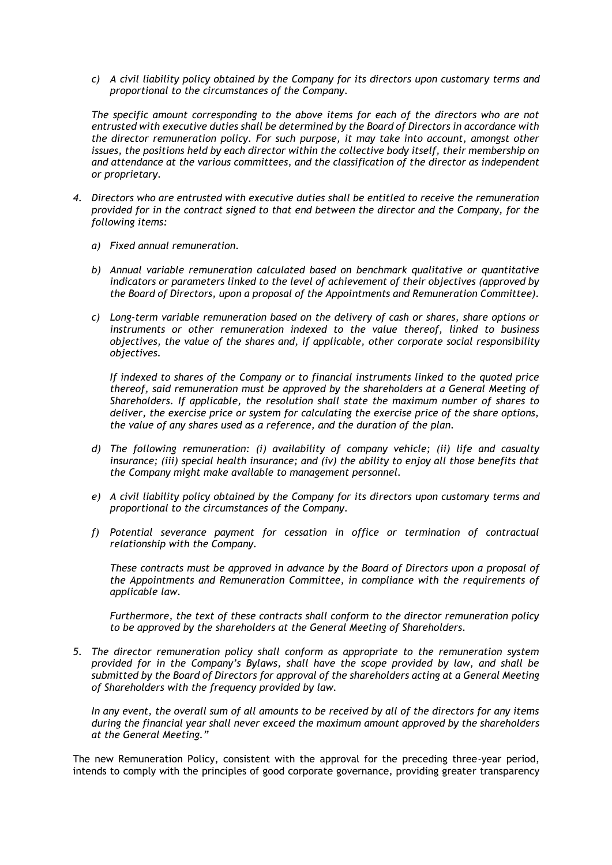*c) A civil liability policy obtained by the Company for its directors upon customary terms and proportional to the circumstances of the Company.*

*The specific amount corresponding to the above items for each of the directors who are not entrusted with executive duties shall be determined by the Board of Directors in accordance with the director remuneration policy. For such purpose, it may take into account, amongst other*  issues, the positions held by each director within the collective body itself, their membership on *and attendance at the various committees, and the classification of the director as independent or proprietary.*

- *4. Directors who are entrusted with executive duties shall be entitled to receive the remuneration provided for in the contract signed to that end between the director and the Company, for the following items:*
	- *a) Fixed annual remuneration.*
	- *b) Annual variable remuneration calculated based on benchmark qualitative or quantitative indicators or parameters linked to the level of achievement of their objectives (approved by the Board of Directors, upon a proposal of the Appointments and Remuneration Committee).*
	- *c) Long-term variable remuneration based on the delivery of cash or shares, share options or instruments or other remuneration indexed to the value thereof, linked to business objectives, the value of the shares and, if applicable, other corporate social responsibility objectives.*

*If indexed to shares of the Company or to financial instruments linked to the quoted price thereof, said remuneration must be approved by the shareholders at a General Meeting of Shareholders. If applicable, the resolution shall state the maximum number of shares to deliver, the exercise price or system for calculating the exercise price of the share options, the value of any shares used as a reference, and the duration of the plan.*

- *d) The following remuneration: (i) availability of company vehicle; (ii) life and casualty insurance; (iii) special health insurance; and (iv) the ability to enjoy all those benefits that the Company might make available to management personnel.*
- *e) A civil liability policy obtained by the Company for its directors upon customary terms and proportional to the circumstances of the Company.*
- *f) Potential severance payment for cessation in office or termination of contractual relationship with the Company.*

*These contracts must be approved in advance by the Board of Directors upon a proposal of the Appointments and Remuneration Committee, in compliance with the requirements of applicable law.* 

*Furthermore, the text of these contracts shall conform to the director remuneration policy to be approved by the shareholders at the General Meeting of Shareholders.*

*5. The director remuneration policy shall conform as appropriate to the remuneration system provided for in the Company's Bylaws, shall have the scope provided by law, and shall be submitted by the Board of Directors for approval of the shareholders acting at a General Meeting of Shareholders with the frequency provided by law.*

*In any event, the overall sum of all amounts to be received by all of the directors for any items during the financial year shall never exceed the maximum amount approved by the shareholders at the General Meeting."*

The new Remuneration Policy, consistent with the approval for the preceding three-year period, intends to comply with the principles of good corporate governance, providing greater transparency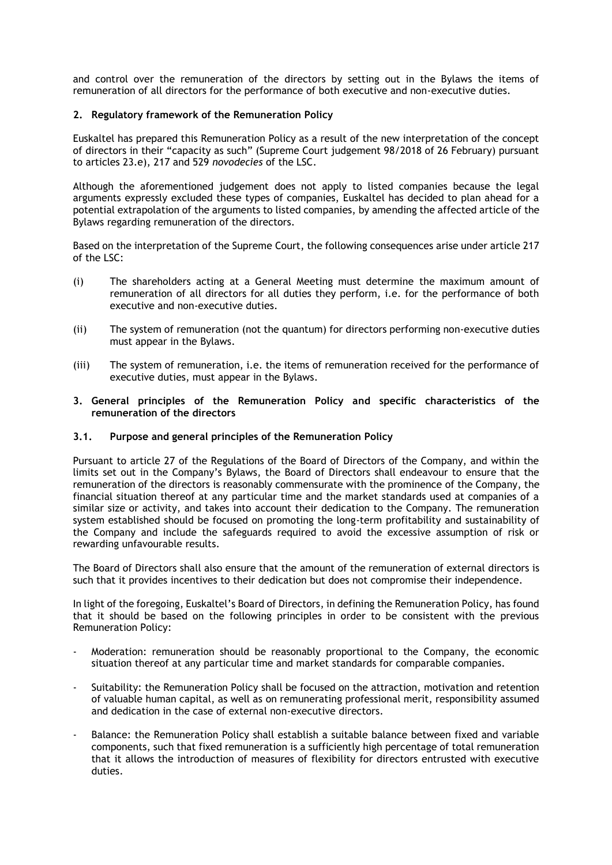and control over the remuneration of the directors by setting out in the Bylaws the items of remuneration of all directors for the performance of both executive and non-executive duties.

# **2. Regulatory framework of the Remuneration Policy**

Euskaltel has prepared this Remuneration Policy as a result of the new interpretation of the concept of directors in their "capacity as such" (Supreme Court judgement 98/2018 of 26 February) pursuant to articles 23.e), 217 and 529 *novodecies* of the LSC.

Although the aforementioned judgement does not apply to listed companies because the legal arguments expressly excluded these types of companies, Euskaltel has decided to plan ahead for a potential extrapolation of the arguments to listed companies, by amending the affected article of the Bylaws regarding remuneration of the directors.

Based on the interpretation of the Supreme Court, the following consequences arise under article 217 of the LSC:

- (i) The shareholders acting at a General Meeting must determine the maximum amount of remuneration of all directors for all duties they perform, i.e. for the performance of both executive and non-executive duties.
- (ii) The system of remuneration (not the quantum) for directors performing non-executive duties must appear in the Bylaws.
- (iii) The system of remuneration, i.e. the items of remuneration received for the performance of executive duties, must appear in the Bylaws.
- **3. General principles of the Remuneration Policy and specific characteristics of the remuneration of the directors**

### **3.1. Purpose and general principles of the Remuneration Policy**

Pursuant to article 27 of the Regulations of the Board of Directors of the Company, and within the limits set out in the Company's Bylaws, the Board of Directors shall endeavour to ensure that the remuneration of the directors is reasonably commensurate with the prominence of the Company, the financial situation thereof at any particular time and the market standards used at companies of a similar size or activity, and takes into account their dedication to the Company. The remuneration system established should be focused on promoting the long-term profitability and sustainability of the Company and include the safeguards required to avoid the excessive assumption of risk or rewarding unfavourable results.

The Board of Directors shall also ensure that the amount of the remuneration of external directors is such that it provides incentives to their dedication but does not compromise their independence.

In light of the foregoing, Euskaltel's Board of Directors, in defining the Remuneration Policy, has found that it should be based on the following principles in order to be consistent with the previous Remuneration Policy:

- Moderation: remuneration should be reasonably proportional to the Company, the economic situation thereof at any particular time and market standards for comparable companies.
- Suitability: the Remuneration Policy shall be focused on the attraction, motivation and retention of valuable human capital, as well as on remunerating professional merit, responsibility assumed and dedication in the case of external non-executive directors.
- Balance: the Remuneration Policy shall establish a suitable balance between fixed and variable components, such that fixed remuneration is a sufficiently high percentage of total remuneration that it allows the introduction of measures of flexibility for directors entrusted with executive duties.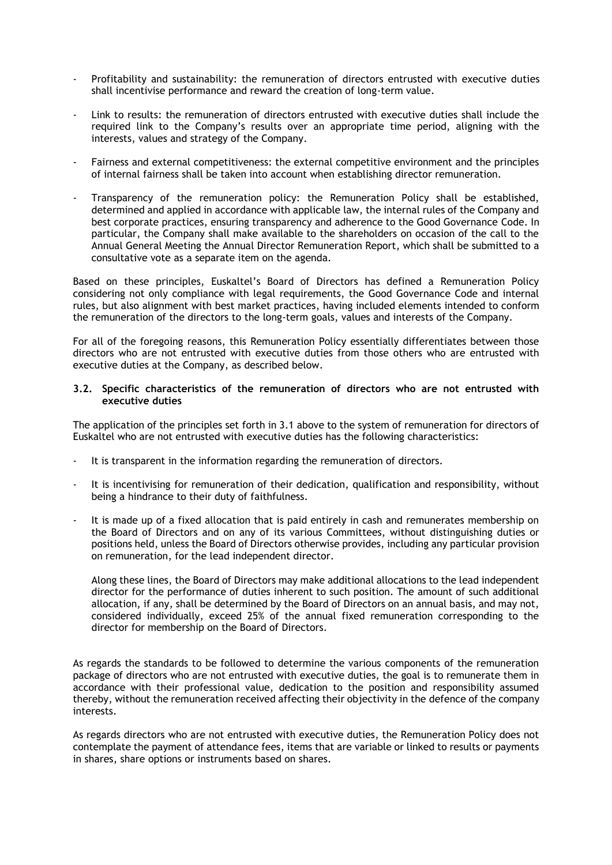- Profitability and sustainability: the remuneration of directors entrusted with executive duties shall incentivise performance and reward the creation of long-term value.
- Link to results: the remuneration of directors entrusted with executive duties shall include the required link to the Company's results over an appropriate time period, aligning with the interests, values and strategy of the Company.
- Fairness and external competitiveness: the external competitive environment and the principles of internal fairness shall be taken into account when establishing director remuneration.
- Transparency of the remuneration policy: the Remuneration Policy shall be established, determined and applied in accordance with applicable law, the internal rules of the Company and best corporate practices, ensuring transparency and adherence to the Good Governance Code. In particular, the Company shall make available to the shareholders on occasion of the call to the Annual General Meeting the Annual Director Remuneration Report, which shall be submitted to a consultative vote as a separate item on the agenda.

Based on these principles, Euskaltel's Board of Directors has defined a Remuneration Policy considering not only compliance with legal requirements, the Good Governance Code and internal rules, but also alignment with best market practices, having included elements intended to conform the remuneration of the directors to the long-term goals, values and interests of the Company.

For all of the foregoing reasons, this Remuneration Policy essentially differentiates between those directors who are not entrusted with executive duties from those others who are entrusted with executive duties at the Company, as described below.

#### **3.2. Specific characteristics of the remuneration of directors who are not entrusted with executive duties**

The application of the principles set forth in 3.1 above to the system of remuneration for directors of Euskaltel who are not entrusted with executive duties has the following characteristics:

- It is transparent in the information regarding the remuneration of directors.
- It is incentivising for remuneration of their dedication, qualification and responsibility, without being a hindrance to their duty of faithfulness.
- It is made up of a fixed allocation that is paid entirely in cash and remunerates membership on the Board of Directors and on any of its various Committees, without distinguishing duties or positions held, unless the Board of Directors otherwise provides, including any particular provision on remuneration, for the lead independent director.

Along these lines, the Board of Directors may make additional allocations to the lead independent director for the performance of duties inherent to such position. The amount of such additional allocation, if any, shall be determined by the Board of Directors on an annual basis, and may not, considered individually, exceed 25% of the annual fixed remuneration corresponding to the director for membership on the Board of Directors.

As regards the standards to be followed to determine the various components of the remuneration package of directors who are not entrusted with executive duties, the goal is to remunerate them in accordance with their professional value, dedication to the position and responsibility assumed thereby, without the remuneration received affecting their objectivity in the defence of the company interests.

As regards directors who are not entrusted with executive duties, the Remuneration Policy does not contemplate the payment of attendance fees, items that are variable or linked to results or payments in shares, share options or instruments based on shares.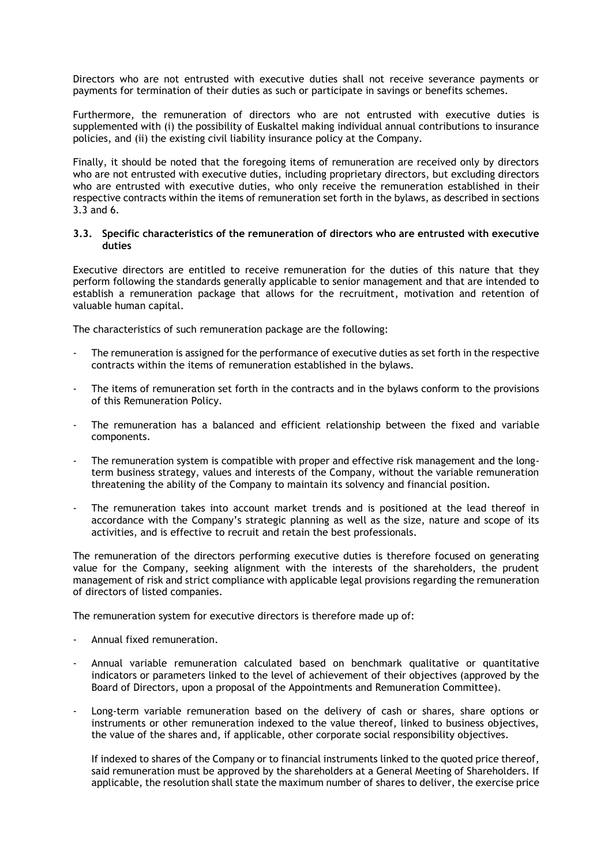Directors who are not entrusted with executive duties shall not receive severance payments or payments for termination of their duties as such or participate in savings or benefits schemes.

Furthermore, the remuneration of directors who are not entrusted with executive duties is supplemented with (i) the possibility of Euskaltel making individual annual contributions to insurance policies, and (ii) the existing civil liability insurance policy at the Company.

Finally, it should be noted that the foregoing items of remuneration are received only by directors who are not entrusted with executive duties, including proprietary directors, but excluding directors who are entrusted with executive duties, who only receive the remuneration established in their respective contracts within the items of remuneration set forth in the bylaws, as described in sections 3.3 and 6.

#### **3.3. Specific characteristics of the remuneration of directors who are entrusted with executive duties**

Executive directors are entitled to receive remuneration for the duties of this nature that they perform following the standards generally applicable to senior management and that are intended to establish a remuneration package that allows for the recruitment, motivation and retention of valuable human capital.

The characteristics of such remuneration package are the following:

- The remuneration is assigned for the performance of executive duties as set forth in the respective contracts within the items of remuneration established in the bylaws.
- The items of remuneration set forth in the contracts and in the bylaws conform to the provisions of this Remuneration Policy.
- The remuneration has a balanced and efficient relationship between the fixed and variable components.
- The remuneration system is compatible with proper and effective risk management and the longterm business strategy, values and interests of the Company, without the variable remuneration threatening the ability of the Company to maintain its solvency and financial position.
- The remuneration takes into account market trends and is positioned at the lead thereof in accordance with the Company's strategic planning as well as the size, nature and scope of its activities, and is effective to recruit and retain the best professionals.

The remuneration of the directors performing executive duties is therefore focused on generating value for the Company, seeking alignment with the interests of the shareholders, the prudent management of risk and strict compliance with applicable legal provisions regarding the remuneration of directors of listed companies.

The remuneration system for executive directors is therefore made up of:

- Annual fixed remuneration.
- Annual variable remuneration calculated based on benchmark qualitative or quantitative indicators or parameters linked to the level of achievement of their objectives (approved by the Board of Directors, upon a proposal of the Appointments and Remuneration Committee).
- Long-term variable remuneration based on the delivery of cash or shares, share options or instruments or other remuneration indexed to the value thereof, linked to business objectives, the value of the shares and, if applicable, other corporate social responsibility objectives.

If indexed to shares of the Company or to financial instruments linked to the quoted price thereof, said remuneration must be approved by the shareholders at a General Meeting of Shareholders. If applicable, the resolution shall state the maximum number of shares to deliver, the exercise price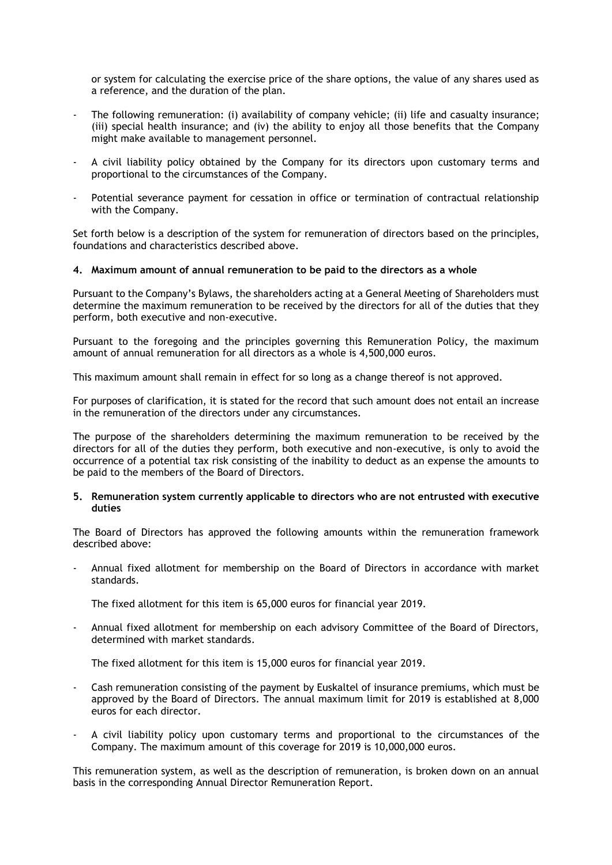or system for calculating the exercise price of the share options, the value of any shares used as a reference, and the duration of the plan.

- The following remuneration: (i) availability of company vehicle; (ii) life and casualty insurance; (iii) special health insurance; and (iv) the ability to enjoy all those benefits that the Company might make available to management personnel.
- A civil liability policy obtained by the Company for its directors upon customary terms and proportional to the circumstances of the Company.
- Potential severance payment for cessation in office or termination of contractual relationship with the Company.

Set forth below is a description of the system for remuneration of directors based on the principles, foundations and characteristics described above.

#### **4. Maximum amount of annual remuneration to be paid to the directors as a whole**

Pursuant to the Company's Bylaws, the shareholders acting at a General Meeting of Shareholders must determine the maximum remuneration to be received by the directors for all of the duties that they perform, both executive and non-executive.

Pursuant to the foregoing and the principles governing this Remuneration Policy, the maximum amount of annual remuneration for all directors as a whole is 4,500,000 euros.

This maximum amount shall remain in effect for so long as a change thereof is not approved.

For purposes of clarification, it is stated for the record that such amount does not entail an increase in the remuneration of the directors under any circumstances.

The purpose of the shareholders determining the maximum remuneration to be received by the directors for all of the duties they perform, both executive and non-executive, is only to avoid the occurrence of a potential tax risk consisting of the inability to deduct as an expense the amounts to be paid to the members of the Board of Directors.

#### **5. Remuneration system currently applicable to directors who are not entrusted with executive duties**

The Board of Directors has approved the following amounts within the remuneration framework described above:

- Annual fixed allotment for membership on the Board of Directors in accordance with market standards.

The fixed allotment for this item is 65,000 euros for financial year 2019.

- Annual fixed allotment for membership on each advisory Committee of the Board of Directors, determined with market standards.

The fixed allotment for this item is 15,000 euros for financial year 2019.

- Cash remuneration consisting of the payment by Euskaltel of insurance premiums, which must be approved by the Board of Directors. The annual maximum limit for 2019 is established at 8,000 euros for each director.
- A civil liability policy upon customary terms and proportional to the circumstances of the Company. The maximum amount of this coverage for 2019 is 10,000,000 euros.

This remuneration system, as well as the description of remuneration, is broken down on an annual basis in the corresponding Annual Director Remuneration Report.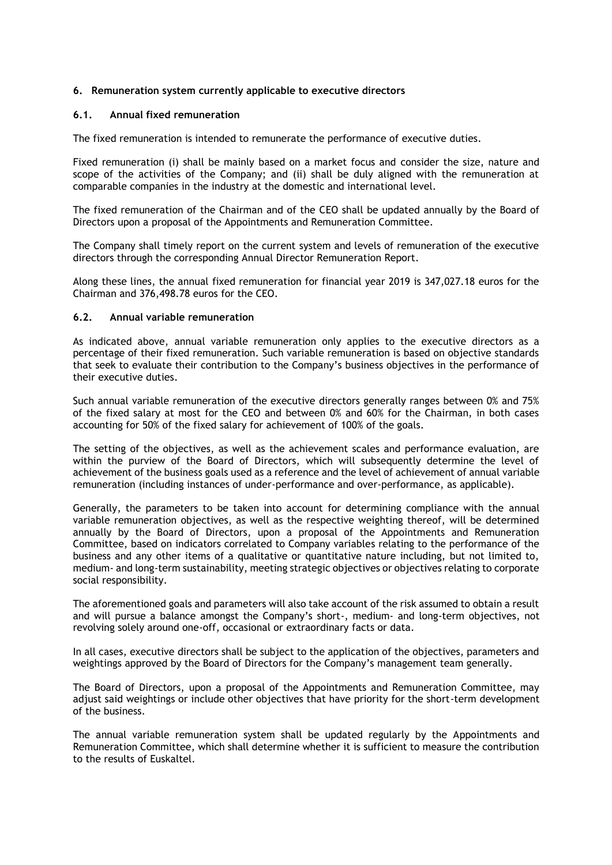# **6. Remuneration system currently applicable to executive directors**

#### **6.1. Annual fixed remuneration**

The fixed remuneration is intended to remunerate the performance of executive duties.

Fixed remuneration (i) shall be mainly based on a market focus and consider the size, nature and scope of the activities of the Company; and (ii) shall be duly aligned with the remuneration at comparable companies in the industry at the domestic and international level.

The fixed remuneration of the Chairman and of the CEO shall be updated annually by the Board of Directors upon a proposal of the Appointments and Remuneration Committee.

The Company shall timely report on the current system and levels of remuneration of the executive directors through the corresponding Annual Director Remuneration Report.

Along these lines, the annual fixed remuneration for financial year 2019 is 347,027.18 euros for the Chairman and 376,498.78 euros for the CEO.

#### **6.2. Annual variable remuneration**

As indicated above, annual variable remuneration only applies to the executive directors as a percentage of their fixed remuneration. Such variable remuneration is based on objective standards that seek to evaluate their contribution to the Company's business objectives in the performance of their executive duties.

Such annual variable remuneration of the executive directors generally ranges between 0% and 75% of the fixed salary at most for the CEO and between 0% and 60% for the Chairman, in both cases accounting for 50% of the fixed salary for achievement of 100% of the goals.

The setting of the objectives, as well as the achievement scales and performance evaluation, are within the purview of the Board of Directors, which will subsequently determine the level of achievement of the business goals used as a reference and the level of achievement of annual variable remuneration (including instances of under-performance and over-performance, as applicable).

Generally, the parameters to be taken into account for determining compliance with the annual variable remuneration objectives, as well as the respective weighting thereof, will be determined annually by the Board of Directors, upon a proposal of the Appointments and Remuneration Committee, based on indicators correlated to Company variables relating to the performance of the business and any other items of a qualitative or quantitative nature including, but not limited to, medium- and long-term sustainability, meeting strategic objectives or objectives relating to corporate social responsibility.

The aforementioned goals and parameters will also take account of the risk assumed to obtain a result and will pursue a balance amongst the Company's short-, medium- and long-term objectives, not revolving solely around one-off, occasional or extraordinary facts or data.

In all cases, executive directors shall be subject to the application of the objectives, parameters and weightings approved by the Board of Directors for the Company's management team generally.

The Board of Directors, upon a proposal of the Appointments and Remuneration Committee, may adjust said weightings or include other objectives that have priority for the short-term development of the business.

The annual variable remuneration system shall be updated regularly by the Appointments and Remuneration Committee, which shall determine whether it is sufficient to measure the contribution to the results of Euskaltel.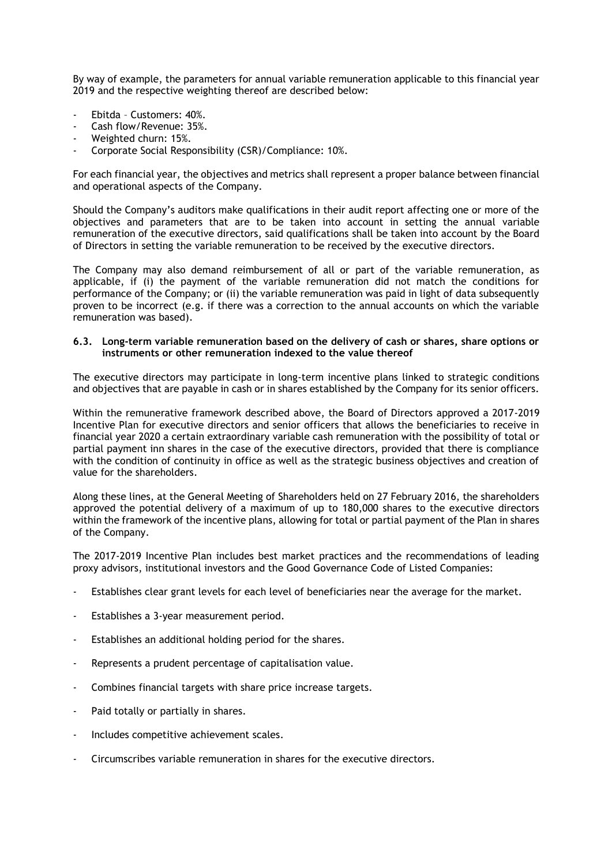By way of example, the parameters for annual variable remuneration applicable to this financial year 2019 and the respective weighting thereof are described below:

- Ebitda Customers: 40%.
- Cash flow/Revenue: 35%.
- Weighted churn: 15%.
- Corporate Social Responsibility (CSR)/Compliance: 10%.

For each financial year, the objectives and metrics shall represent a proper balance between financial and operational aspects of the Company.

Should the Company's auditors make qualifications in their audit report affecting one or more of the objectives and parameters that are to be taken into account in setting the annual variable remuneration of the executive directors, said qualifications shall be taken into account by the Board of Directors in setting the variable remuneration to be received by the executive directors.

The Company may also demand reimbursement of all or part of the variable remuneration, as applicable, if (i) the payment of the variable remuneration did not match the conditions for performance of the Company; or (ii) the variable remuneration was paid in light of data subsequently proven to be incorrect (e.g. if there was a correction to the annual accounts on which the variable remuneration was based).

### **6.3. Long-term variable remuneration based on the delivery of cash or shares, share options or instruments or other remuneration indexed to the value thereof**

The executive directors may participate in long-term incentive plans linked to strategic conditions and objectives that are payable in cash or in shares established by the Company for its senior officers.

Within the remunerative framework described above, the Board of Directors approved a 2017-2019 Incentive Plan for executive directors and senior officers that allows the beneficiaries to receive in financial year 2020 a certain extraordinary variable cash remuneration with the possibility of total or partial payment inn shares in the case of the executive directors, provided that there is compliance with the condition of continuity in office as well as the strategic business objectives and creation of value for the shareholders.

Along these lines, at the General Meeting of Shareholders held on 27 February 2016, the shareholders approved the potential delivery of a maximum of up to 180,000 shares to the executive directors within the framework of the incentive plans, allowing for total or partial payment of the Plan in shares of the Company.

The 2017-2019 Incentive Plan includes best market practices and the recommendations of leading proxy advisors, institutional investors and the Good Governance Code of Listed Companies:

- Establishes clear grant levels for each level of beneficiaries near the average for the market.
- Establishes a 3-year measurement period.
- Establishes an additional holding period for the shares.
- Represents a prudent percentage of capitalisation value.
- Combines financial targets with share price increase targets.
- Paid totally or partially in shares.
- Includes competitive achievement scales.
- Circumscribes variable remuneration in shares for the executive directors.